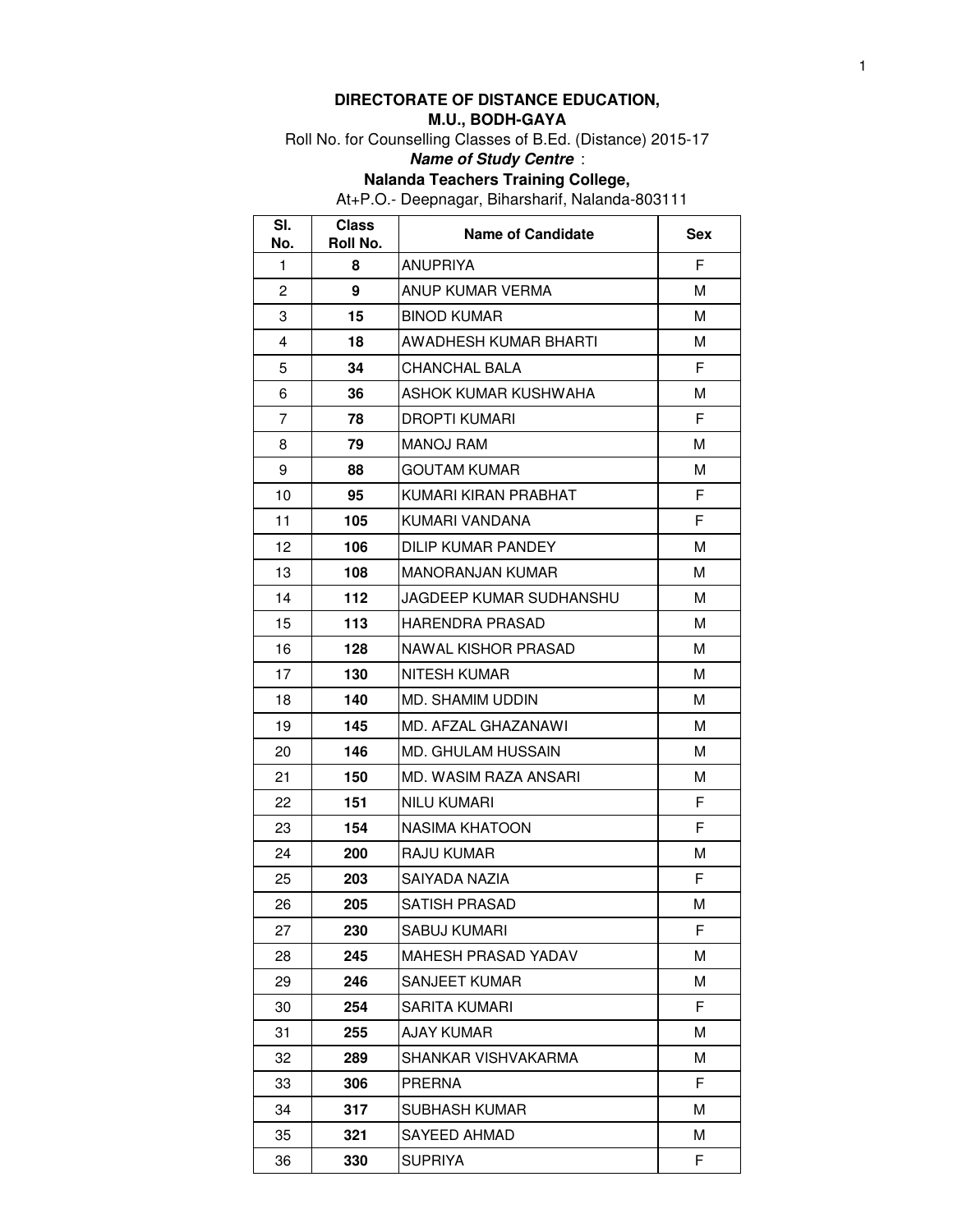# **DIRECTORATE OF DISTANCE EDUCATION,**

### **M.U., BODH-GAYA**

Roll No. for Counselling Classes of B.Ed. (Distance) 2015-17

### **Name of Study Centre** :

**Nalanda Teachers Training College,** 

At+P.O.- Deepnagar, Biharsharif, Nalanda-803111

| SI.<br>No.     | <b>Class</b><br>Roll No. | <b>Name of Candidate</b> | <b>Sex</b> |
|----------------|--------------------------|--------------------------|------------|
| 1              | 8                        | ANUPRIYA                 | F          |
| 2              | 9                        | ANUP KUMAR VERMA         | м          |
| 3              | 15                       | <b>BINOD KUMAR</b>       | м          |
| 4              | 18                       | AWADHESH KUMAR BHARTI    | м          |
| 5              | 34                       | CHANCHAL BALA            | F          |
| 6              | 36                       | ASHOK KUMAR KUSHWAHA     | м          |
| $\overline{7}$ | 78                       | DROPTI KUMARI            | F          |
| 8              | 79                       | MANOJ RAM                | М          |
| 9              | 88                       | <b>GOUTAM KUMAR</b>      | M          |
| 10             | 95                       | KUMARI KIRAN PRABHAT     | F          |
| 11             | 105                      | KUMARI VANDANA           | F.         |
| 12             | 106                      | DILIP KUMAR PANDEY       | M          |
| 13             | 108                      | <b>MANORANJAN KUMAR</b>  | м          |
| 14             | 112                      | JAGDEEP KUMAR SUDHANSHU  | м          |
| 15             | 113                      | HARENDRA PRASAD          | м          |
| 16             | 128                      | NAWAL KISHOR PRASAD      | м          |
| 17             | 130                      | NITESH KUMAR             | м          |
| 18             | 140                      | MD. SHAMIM UDDIN         | м          |
| 19             | 145                      | MD. AFZAL GHAZANAWI      | M          |
| 20             | 146                      | MD. GHULAM HUSSAIN       | м          |
| 21             | 150                      | MD. WASIM RAZA ANSARI    | м          |
| 22             | 151                      | <b>NILU KUMARI</b>       | F          |
| 23             | 154                      | NASIMA KHATOON           | F          |
| 24             | 200                      | RAJU KUMAR               | м          |
| 25             | 203                      | SAIYADA NAZIA            | F          |
| 26             | 205                      | SATISH PRASAD            | м          |
| 27             | 230                      | SABUJ KUMARI             | F          |
| 28             | 245                      | MAHESH PRASAD YADAV      | м          |
| 29             | 246                      | SANJEET KUMAR            | м          |
| 30             | 254                      | SARITA KUMARI            | F          |
| 31             | 255                      | AJAY KUMAR               | М          |
| 32             | 289                      | SHANKAR VISHVAKARMA      | м          |
| 33             | 306                      | PRERNA                   | F          |
| 34             | 317                      | SUBHASH KUMAR            | М          |
| 35             | 321                      | SAYEED AHMAD             | М          |
| 36             | 330                      | <b>SUPRIYA</b>           | F.         |